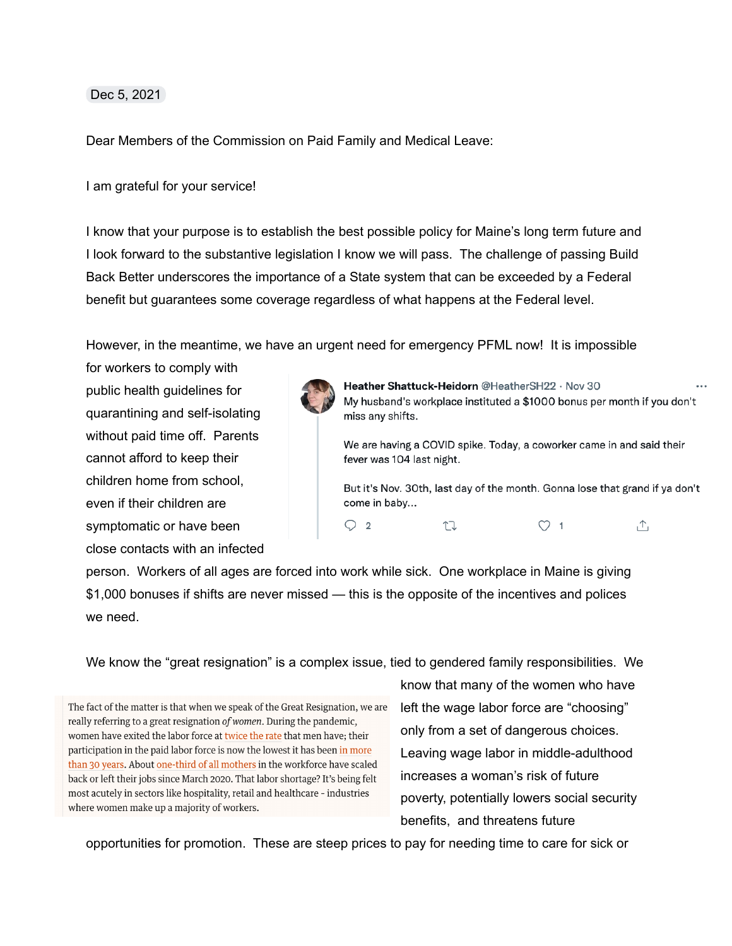## Dec 5, 2021

Dear Members of the Commission on Paid Family and Medical Leave:

## I am grateful for your service!

I know that your purpose is to establish the best possible policy for Maine's long term future and I look forward to the substantive legislation I know we will pass. The challenge of passing Build Back Better underscores the importance of a State system that can be exceeded by a Federal benefit but guarantees some coverage regardless of what happens at the Federal level.

However, in the meantime, we have an urgent need for emergency PFML now! It is impossible

for workers to comply with public health guidelines for quarantining and self-isolating without paid time off. Parents cannot afford to keep their children home from school, even if their children are symptomatic or have been close contacts with an infected



Heather Shattuck-Heidorn @HeatherSH22 · Nov 30 My husband's workplace instituted a \$1000 bonus per month if you don't miss any shifts.

We are having a COVID spike. Today, a coworker came in and said their fever was 104 last night.

But it's Nov. 30th, last day of the month. Gonna lose that grand if ya don't come in baby...



person. Workers of all ages are forced into work while sick. One workplace in Maine is giving \$1,000 bonuses if shifts are never missed — this is the opposite of the incentives and polices we need.

We know the "great resignation" is a complex issue, tied to gendered family responsibilities. We

The fact of the matter is that when we speak of the Great Resignation, we are really referring to a great resignation of women. During the pandemic, women have exited the labor force at twice the rate that men have; their participation in the paid labor force is now the lowest it has been in more than 30 years. About one-third of all mothers in the workforce have scaled back or left their jobs since March 2020. That labor shortage? It's being felt most acutely in sectors like hospitality, retail and healthcare - industries where women make up a majority of workers.

know that many of the women who have left the wage labor force are "choosing" only from a set of dangerous choices. Leaving wage labor in middle-adulthood increases a woman's risk of future poverty, potentially lowers social security benefits, and threatens future

opportunities for promotion. These are steep prices to pay for needing time to care for sick or